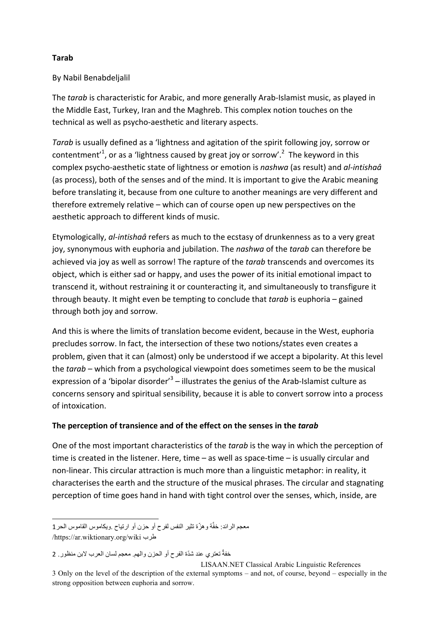### **Tarab**

### By Nabil Benabdeljalil

The *tarab* is characteristic for Arabic, and more generally Arab-Islamist music, as played in the Middle East, Turkey, Iran and the Maghreb. This complex notion touches on the technical as well as psycho-aesthetic and literary aspects.

*Tarab* is usually defined as a 'lightness and agitation of the spirit following joy, sorrow or contentment<sup>'1</sup>, or as a 'lightness caused by great joy or sorrow'.<sup>2</sup> The keyword in this complex psycho-aesthetic state of lightness or emotion is *nashwa* (as result) and *al-intishaâ* (as process), both of the senses and of the mind. It is important to give the Arabic meaning before translating it, because from one culture to another meanings are very different and therefore extremely relative – which can of course open up new perspectives on the aesthetic approach to different kinds of music.

Etymologically, *al-intishaâ* refers as much to the ecstasy of drunkenness as to a very great joy, synonymous with euphoria and jubilation. The *nashwa* of the *tarab* can therefore be achieved via joy as well as sorrow! The rapture of the *tarab* transcends and overcomes its object, which is either sad or happy, and uses the power of its initial emotional impact to transcend it, without restraining it or counteracting it, and simultaneously to transfigure it through beauty. It might even be tempting to conclude that *tarab* is euphoria – gained through both joy and sorrow.

And this is where the limits of translation become evident, because in the West, euphoria precludes sorrow. In fact, the intersection of these two notions/states even creates a problem, given that it can (almost) only be understood if we accept a bipolarity. At this level the *tarab* – which from a psychological viewpoint does sometimes seem to be the musical expression of a 'bipolar disorder'<sup>3</sup> – illustrates the genius of the Arab-Islamist culture as concerns sensory and spiritual sensibility, because it is able to convert sorrow into a process of intoxication.

# The perception of transience and of the effect on the senses in the tarab

One of the most important characteristics of the *tarab* is the way in which the perception of time is created in the listener. Here, time  $-$  as well as space-time  $-$  is usually circular and non-linear. This circular attraction is much more than a linguistic metaphor: in reality, it characterises the earth and the structure of the musical phrases. The circular and stagnating perception of time goes hand in hand with tight control over the senses, which, inside, are

l معجم الرائد: خفَّة وهزّة تثیر النفس لفرح أو حزن أو ارتیاح .ویكاموس القاموس الحر1 /https://ar.wiktionary.org/wiki طرب

خفةٌ تعتري عند شدّة الفرح أو الحزن والهم. معجم لسان العرب لابن منظور ـ 2

LISAAN.NET Classical Arabic Linguistic References 3 Only on the level of the description of the external symptoms – and not, of course, beyond – especially in the strong opposition between euphoria and sorrow.